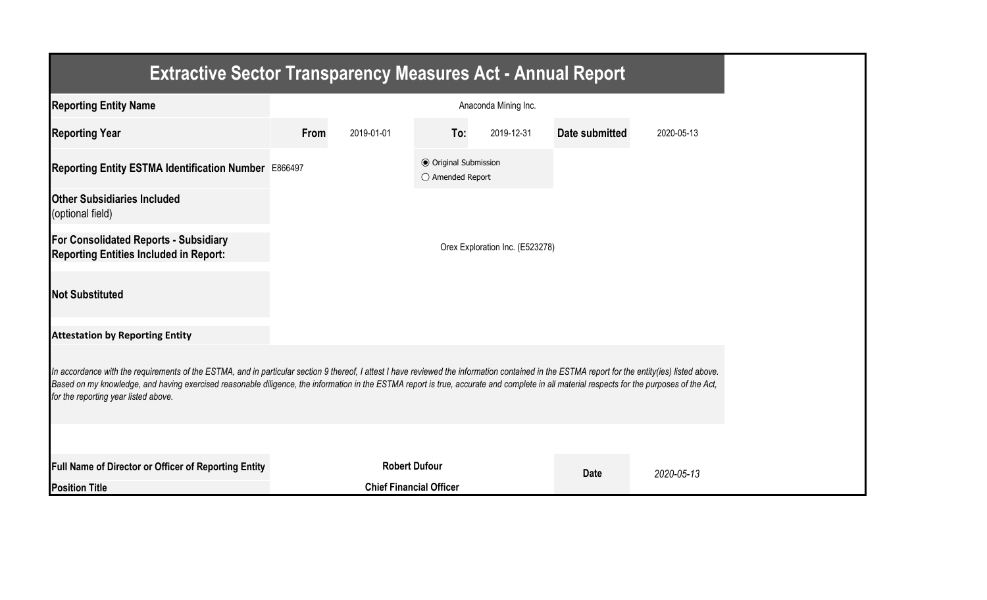| <b>Extractive Sector Transparency Measures Act - Annual Report</b>                                                                                                                                                                                                                                                                                                                                                                    |                                |                      |                                                  |                                 |                |            |  |  |
|---------------------------------------------------------------------------------------------------------------------------------------------------------------------------------------------------------------------------------------------------------------------------------------------------------------------------------------------------------------------------------------------------------------------------------------|--------------------------------|----------------------|--------------------------------------------------|---------------------------------|----------------|------------|--|--|
| <b>Reporting Entity Name</b>                                                                                                                                                                                                                                                                                                                                                                                                          | Anaconda Mining Inc.           |                      |                                                  |                                 |                |            |  |  |
| <b>Reporting Year</b>                                                                                                                                                                                                                                                                                                                                                                                                                 | From                           | 2019-01-01           | To:                                              | 2019-12-31                      | Date submitted | 2020-05-13 |  |  |
| Reporting Entity ESTMA Identification Number E866497                                                                                                                                                                                                                                                                                                                                                                                  |                                |                      | <b>● Original Submission</b><br>○ Amended Report |                                 |                |            |  |  |
| <b>Other Subsidiaries Included</b><br>(optional field)                                                                                                                                                                                                                                                                                                                                                                                |                                |                      |                                                  |                                 |                |            |  |  |
| For Consolidated Reports - Subsidiary<br><b>Reporting Entities Included in Report:</b>                                                                                                                                                                                                                                                                                                                                                |                                |                      |                                                  | Orex Exploration Inc. (E523278) |                |            |  |  |
| <b>Not Substituted</b>                                                                                                                                                                                                                                                                                                                                                                                                                |                                |                      |                                                  |                                 |                |            |  |  |
| <b>Attestation by Reporting Entity</b>                                                                                                                                                                                                                                                                                                                                                                                                |                                |                      |                                                  |                                 |                |            |  |  |
| In accordance with the requirements of the ESTMA, and in particular section 9 thereof, I attest I have reviewed the information contained in the ESTMA report for the entity(ies) listed above.<br>Based on my knowledge, and having exercised reasonable diligence, the information in the ESTMA report is true, accurate and complete in all material respects for the purposes of the Act,<br>for the reporting year listed above. |                                |                      |                                                  |                                 |                |            |  |  |
|                                                                                                                                                                                                                                                                                                                                                                                                                                       |                                |                      |                                                  |                                 |                |            |  |  |
| Full Name of Director or Officer of Reporting Entity                                                                                                                                                                                                                                                                                                                                                                                  |                                | <b>Robert Dufour</b> |                                                  |                                 | <b>Date</b>    | 2020-05-13 |  |  |
| <b>Position Title</b>                                                                                                                                                                                                                                                                                                                                                                                                                 | <b>Chief Financial Officer</b> |                      |                                                  |                                 |                |            |  |  |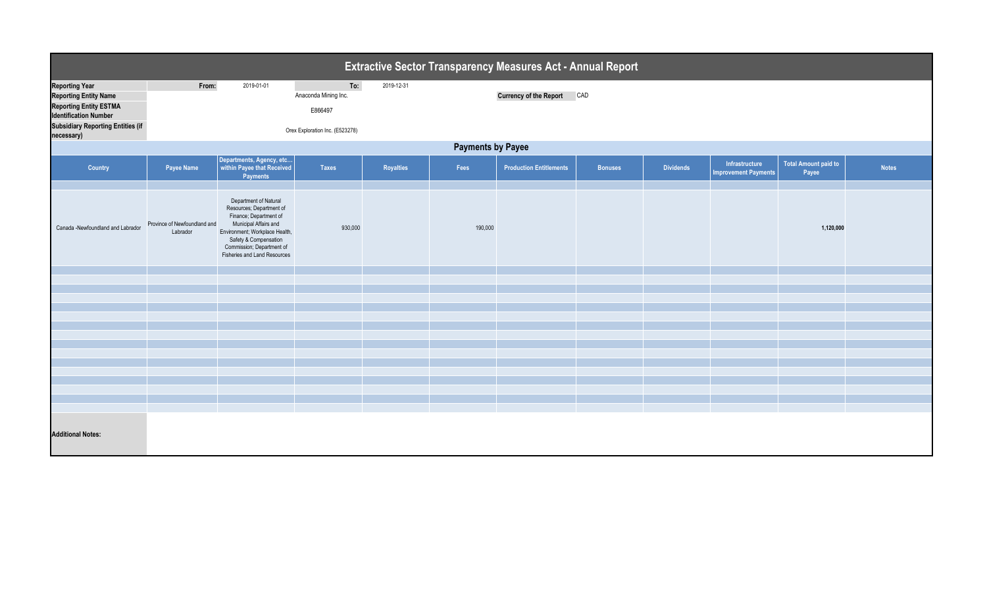| <b>Extractive Sector Transparency Measures Act - Annual Report</b>                                                     |                                          |                                                                                                                                                                                                                              |                                        |            |         |                                |                |                  |                                               |                                      |              |  |
|------------------------------------------------------------------------------------------------------------------------|------------------------------------------|------------------------------------------------------------------------------------------------------------------------------------------------------------------------------------------------------------------------------|----------------------------------------|------------|---------|--------------------------------|----------------|------------------|-----------------------------------------------|--------------------------------------|--------------|--|
| <b>Reporting Year</b><br><b>Reporting Entity Name</b><br><b>Reporting Entity ESTMA</b><br><b>Identification Number</b> | From:                                    | 2019-01-01                                                                                                                                                                                                                   | To:<br>Anaconda Mining Inc.<br>E866497 | 2019-12-31 |         | <b>Currency of the Report</b>  | CAD            |                  |                                               |                                      |              |  |
| <b>Subsidiary Reporting Entities (if</b><br>necessary)                                                                 | Orex Exploration Inc. (E523278)          |                                                                                                                                                                                                                              |                                        |            |         |                                |                |                  |                                               |                                      |              |  |
| <b>Payments by Payee</b>                                                                                               |                                          |                                                                                                                                                                                                                              |                                        |            |         |                                |                |                  |                                               |                                      |              |  |
| Country                                                                                                                | Payee Name                               | Departments, Agency, etc<br>within Payee that Received<br>Payments                                                                                                                                                           | <b>Taxes</b>                           | Royalties  | Fees    | <b>Production Entitlements</b> | <b>Bonuses</b> | <b>Dividends</b> | Infrastructure<br><b>Improvement Payments</b> | <b>Total Amount paid to</b><br>Payee | <b>Notes</b> |  |
| Canada -Newfoundland and Labrador                                                                                      | Province of Newfoundland and<br>Labrador | Department of Natural<br>Resources; Department of<br>Finance; Department of<br>Municipal Affairs and<br>Environment; Workplace Health,<br>Safety & Compensation<br>Commission; Department of<br>Fisheries and Land Resources | 930,000                                |            | 190,000 |                                |                |                  |                                               | 1,120,000                            |              |  |
|                                                                                                                        |                                          |                                                                                                                                                                                                                              |                                        |            |         |                                |                |                  |                                               |                                      |              |  |
|                                                                                                                        |                                          |                                                                                                                                                                                                                              |                                        |            |         |                                |                |                  |                                               |                                      |              |  |
|                                                                                                                        |                                          |                                                                                                                                                                                                                              |                                        |            |         |                                |                |                  |                                               |                                      |              |  |
|                                                                                                                        |                                          |                                                                                                                                                                                                                              |                                        |            |         |                                |                |                  |                                               |                                      |              |  |
|                                                                                                                        |                                          |                                                                                                                                                                                                                              |                                        |            |         |                                |                |                  |                                               |                                      |              |  |
|                                                                                                                        |                                          |                                                                                                                                                                                                                              |                                        |            |         |                                |                |                  |                                               |                                      |              |  |
|                                                                                                                        |                                          |                                                                                                                                                                                                                              |                                        |            |         |                                |                |                  |                                               |                                      |              |  |
|                                                                                                                        |                                          |                                                                                                                                                                                                                              |                                        |            |         |                                |                |                  |                                               |                                      |              |  |
|                                                                                                                        |                                          |                                                                                                                                                                                                                              |                                        |            |         |                                |                |                  |                                               |                                      |              |  |
|                                                                                                                        |                                          |                                                                                                                                                                                                                              |                                        |            |         |                                |                |                  |                                               |                                      |              |  |
| <b>Additional Notes:</b>                                                                                               |                                          |                                                                                                                                                                                                                              |                                        |            |         |                                |                |                  |                                               |                                      |              |  |